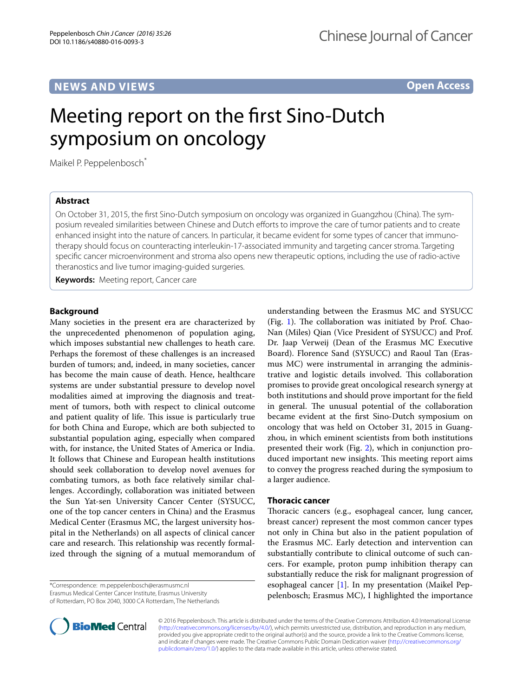# **NEWS AND VIEWS**

**Open Access**

# Meeting report on the first Sino-Dutch symposium on oncology

Maikel P. Peppelenbosch<sup>\*</sup>

## **Abstract**

On October 31, 2015, the first Sino-Dutch symposium on oncology was organized in Guangzhou (China). The symposium revealed similarities between Chinese and Dutch efforts to improve the care of tumor patients and to create enhanced insight into the nature of cancers. In particular, it became evident for some types of cancer that immunotherapy should focus on counteracting interleukin-17-associated immunity and targeting cancer stroma. Targeting specific cancer microenvironment and stroma also opens new therapeutic options, including the use of radio-active theranostics and live tumor imaging-guided surgeries.

**Keywords:** Meeting report, Cancer care

## **Background**

Many societies in the present era are characterized by the unprecedented phenomenon of population aging, which imposes substantial new challenges to heath care. Perhaps the foremost of these challenges is an increased burden of tumors; and, indeed, in many societies, cancer has become the main cause of death. Hence, healthcare systems are under substantial pressure to develop novel modalities aimed at improving the diagnosis and treatment of tumors, both with respect to clinical outcome and patient quality of life. This issue is particularly true for both China and Europe, which are both subjected to substantial population aging, especially when compared with, for instance, the United States of America or India. It follows that Chinese and European health institutions should seek collaboration to develop novel avenues for combating tumors, as both face relatively similar challenges. Accordingly, collaboration was initiated between the Sun Yat-sen University Cancer Center (SYSUCC, one of the top cancer centers in China) and the Erasmus Medical Center (Erasmus MC, the largest university hospital in the Netherlands) on all aspects of clinical cancer care and research. This relationship was recently formalized through the signing of a mutual memorandum of

\*Correspondence: m.peppelenbosch@erasmusmc.nl Erasmus Medical Center Cancer Institute, Erasmus University of Rotterdam, PO Box 2040, 3000 CA Rotterdam, The Netherlands

understanding between the Erasmus MC and SYSUCC (Fig. [1\)](#page-1-0). The collaboration was initiated by Prof. Chao-Nan (Miles) Qian (Vice President of SYSUCC) and Prof. Dr. Jaap Verweij (Dean of the Erasmus MC Executive Board). Florence Sand (SYSUCC) and Raoul Tan (Erasmus MC) were instrumental in arranging the administrative and logistic details involved. This collaboration promises to provide great oncological research synergy at both institutions and should prove important for the field in general. The unusual potential of the collaboration became evident at the first Sino-Dutch symposium on oncology that was held on October 31, 2015 in Guangzhou, in which eminent scientists from both institutions presented their work (Fig. [2\)](#page-1-1), which in conjunction produced important new insights. This meeting report aims to convey the progress reached during the symposium to a larger audience.

### **Thoracic cancer**

Thoracic cancers (e.g., esophageal cancer, lung cancer, breast cancer) represent the most common cancer types not only in China but also in the patient population of the Erasmus MC. Early detection and intervention can substantially contribute to clinical outcome of such cancers. For example, proton pump inhibition therapy can substantially reduce the risk for malignant progression of esophageal cancer  $[1]$  $[1]$ . In my presentation (Maikel Peppelenbosch; Erasmus MC), I highlighted the importance



© 2016 Peppelenbosch. This article is distributed under the terms of the Creative Commons Attribution 4.0 International License [\(http://creativecommons.org/licenses/by/4.0/\)](http://creativecommons.org/licenses/by/4.0/), which permits unrestricted use, distribution, and reproduction in any medium, provided you give appropriate credit to the original author(s) and the source, provide a link to the Creative Commons license, and indicate if changes were made. The Creative Commons Public Domain Dedication waiver ([http://creativecommons.org/](http://creativecommons.org/publicdomain/zero/1.0/) [publicdomain/zero/1.0/](http://creativecommons.org/publicdomain/zero/1.0/)) applies to the data made available in this article, unless otherwise stated.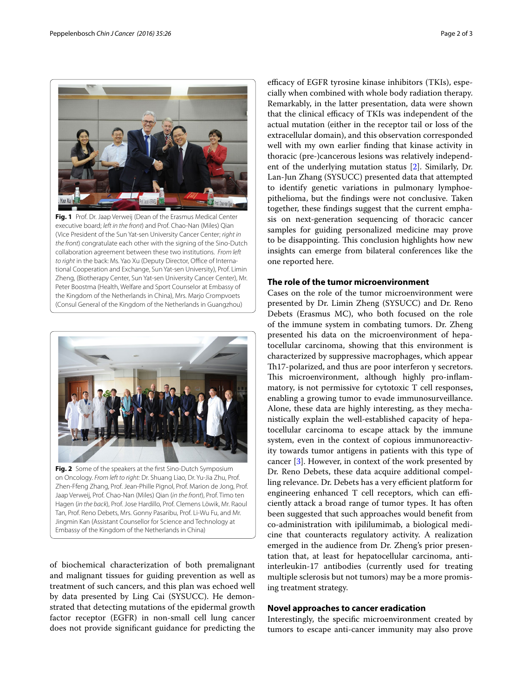

**Fig. 1** Prof. Dr. Jaap Verweij (Dean of the Erasmus Medical Center executive board; *left in the front*) and Prof. Chao-Nan (Miles) Qian (Vice President of the Sun Yat-sen University Cancer Center; *right in the front*) congratulate each other with the signing of the Sino-Dutch collaboration agreement between these two institutions. *From left to right* in the back: Ms. Yao Xu (Deputy Director, Office of International Cooperation and Exchange, Sun Yat-sen University), Prof. Limin Zheng, (Biotherapy Center, Sun Yat-sen University Cancer Center), Mr. Peter Boostma (Health, Welfare and Sport Counselor at Embassy of the Kingdom of the Netherlands in China), Mrs. Marjo Crompvoets (Consul General of the Kingdom of the Netherlands in Guangzhou)

<span id="page-1-0"></span>

on Oncology. *From left to right:* Dr. Shuang Liao, Dr. Yu-Jia Zhu, Prof. Zhen-Ffeng Zhang, Prof. Jean-Phille Pignol, Prof. Marion de Jong, Prof. Jaap Verweij, Prof. Chao-Nan (Miles) Qian (*in the front*), Prof. Timo ten Hagen (*in the back*), Prof. Jose Hardillo, Prof. Clemens Löwik, Mr. Raoul Tan, Prof. Reno Debets, Mrs. Gonny Pasaribu, Prof. Li-Wu Fu, and Mr. Jingmin Kan (Assistant Counsellor for Science and Technology at Embassy of the Kingdom of the Netherlands in China)

<span id="page-1-1"></span>of biochemical characterization of both premalignant and malignant tissues for guiding prevention as well as treatment of such cancers, and this plan was echoed well by data presented by Ling Cai (SYSUCC). He demonstrated that detecting mutations of the epidermal growth factor receptor (EGFR) in non-small cell lung cancer does not provide significant guidance for predicting the

efficacy of EGFR tyrosine kinase inhibitors (TKIs), especially when combined with whole body radiation therapy. Remarkably, in the latter presentation, data were shown that the clinical efficacy of TKIs was independent of the actual mutation (either in the receptor tail or loss of the extracellular domain), and this observation corresponded well with my own earlier finding that kinase activity in thoracic (pre-)cancerous lesions was relatively independent of the underlying mutation status [\[2](#page-2-1)]. Similarly, Dr. Lan-Jun Zhang (SYSUCC) presented data that attempted to identify genetic variations in pulmonary lymphoepithelioma, but the findings were not conclusive. Taken together, these findings suggest that the current emphasis on next-generation sequencing of thoracic cancer samples for guiding personalized medicine may prove to be disappointing. This conclusion highlights how new insights can emerge from bilateral conferences like the one reported here.

#### **The role of the tumor microenvironment**

Cases on the role of the tumor microenvironment were presented by Dr. Limin Zheng (SYSUCC) and Dr. Reno Debets (Erasmus MC), who both focused on the role of the immune system in combating tumors. Dr. Zheng presented his data on the microenvironment of hepatocellular carcinoma, showing that this environment is characterized by suppressive macrophages, which appear Th17-polarized, and thus are poor interferon γ secretors. This microenvironment, although highly pro-inflammatory, is not permissive for cytotoxic T cell responses, enabling a growing tumor to evade immunosurveillance. Alone, these data are highly interesting, as they mechanistically explain the well-established capacity of hepatocellular carcinoma to escape attack by the immune system, even in the context of copious immunoreactivity towards tumor antigens in patients with this type of cancer [[3\]](#page-2-2). However, in context of the work presented by Dr. Reno Debets, these data acquire additional compelling relevance. Dr. Debets has a very efficient platform for engineering enhanced T cell receptors, which can efficiently attack a broad range of tumor types. It has often been suggested that such approaches would benefit from co-administration with ipililumimab, a biological medicine that counteracts regulatory activity. A realization emerged in the audience from Dr. Zheng's prior presentation that, at least for hepatocellular carcinoma, antiinterleukin-17 antibodies (currently used for treating multiple sclerosis but not tumors) may be a more promising treatment strategy.

#### **Novel approaches to cancer eradication**

Interestingly, the specific microenvironment created by tumors to escape anti-cancer immunity may also prove